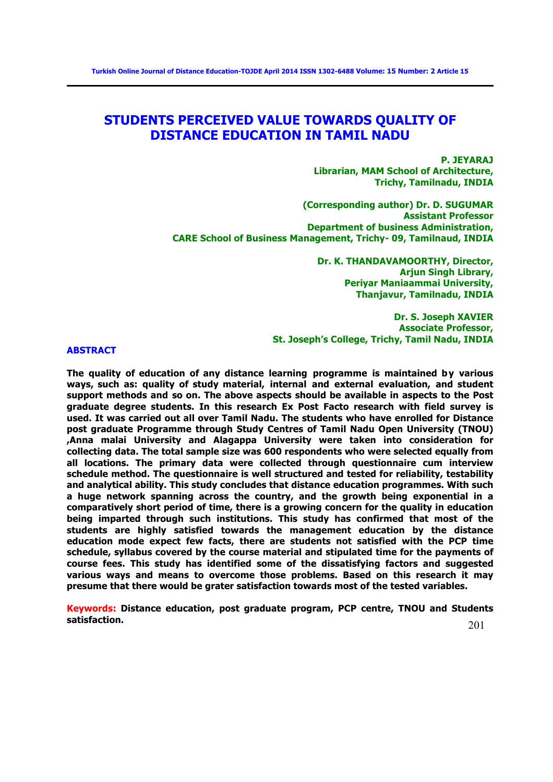# **STUDENTS PERCEIVED VALUE TOWARDS QUALITY OF DISTANCE EDUCATION IN TAMIL NADU**

**P. JEYARAJ Librarian, MAM School of Architecture, Trichy, Tamilnadu, INDIA** 

**(Corresponding author) Dr. D. SUGUMAR Assistant Professor Department of business Administration, CARE School of Business Management, Trichy- 09, Tamilnaud, INDIA**

> **Dr. K. THANDAVAMOORTHY, Director, Arjun Singh Library, Periyar Maniaammai University, Thanjavur, Tamilnadu, INDIA**

**Dr. S. Joseph XAVIER Associate Professor, St. Joseph's College, Trichy, Tamil Nadu, INDIA**

## **ABSTRACT**

**The quality of education of any distance learning programme is maintained by various ways, such as: quality of study material, internal and external evaluation, and student support methods and so on. The above aspects should be available in aspects to the Post graduate degree students. In this research Ex Post Facto research with field survey is used. It was carried out all over Tamil Nadu. The students who have enrolled for Distance post graduate Programme through Study Centres of Tamil Nadu Open University (TNOU) ,Anna malai University and Alagappa University were taken into consideration for collecting data. The total sample size was 600 respondents who were selected equally from all locations. The primary data were collected through questionnaire cum interview schedule method. The questionnaire is well structured and tested for reliability, testability and analytical ability. This study concludes that distance education programmes. With such a huge network spanning across the country, and the growth being exponential in a comparatively short period of time, there is a growing concern for the quality in education being imparted through such institutions. This study has confirmed that most of the students are highly satisfied towards the management education by the distance education mode expect few facts, there are students not satisfied with the PCP time schedule, syllabus covered by the course material and stipulated time for the payments of course fees. This study has identified some of the dissatisfying factors and suggested various ways and means to overcome those problems. Based on this research it may presume that there would be grater satisfaction towards most of the tested variables.** 

**Keywords: Distance education, post graduate program, PCP centre, TNOU and Students satisfaction.**

201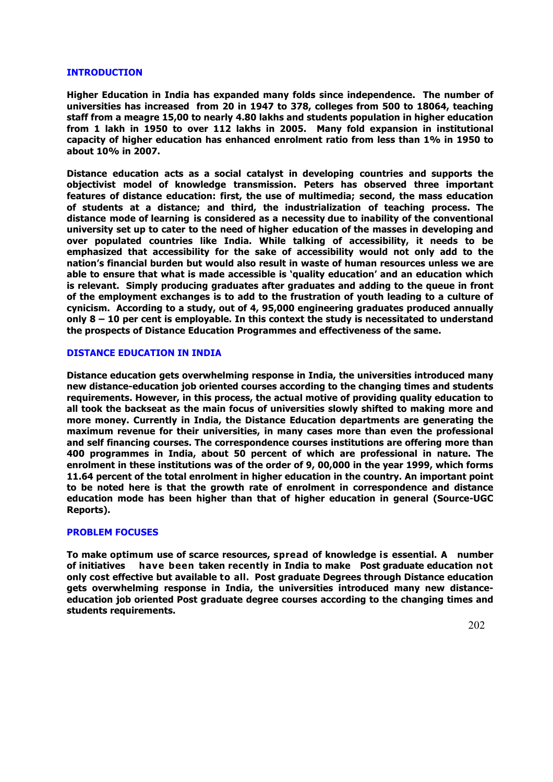## **INTRODUCTION**

**Higher Education in India has expanded many folds since independence. The number of universities has increased from 20 in 1947 to 378, colleges from 500 to 18064, teaching staff from a meagre 15,00 to nearly 4.80 lakhs and students population in higher education from 1 lakh in 1950 to over 112 lakhs in 2005. Many fold expansion in institutional capacity of higher education has enhanced enrolment ratio from less than 1% in 1950 to about 10% in 2007.**

**Distance education acts as a social catalyst in developing countries and supports the objectivist model of knowledge transmission. Peters has observed three important features of distance education: first, the use of multimedia; second, the mass education of students at a distance; and third, the industrialization of teaching process. The distance mode of learning is considered as a necessity due to inability of the conventional university set up to cater to the need of higher education of the masses in developing and over populated countries like India. While talking of accessibility, it needs to be emphasized that accessibility for the sake of accessibility would not only add to the nation's financial burden but would also result in waste of human resources unless we are able to ensure that what is made accessible is 'quality education' and an education which is relevant. Simply producing graduates after graduates and adding to the queue in front of the employment exchanges is to add to the frustration of youth leading to a culture of cynicism. According to a study, out of 4, 95,000 engineering graduates produced annually only 8 – 10 per cent is employable. In this context the study is necessitated to understand the prospects of Distance Education Programmes and effectiveness of the same.**

## **DISTANCE EDUCATION IN INDIA**

**Distance education gets overwhelming response in India, the universities introduced many new distance-education job oriented courses according to the changing times and students requirements. However, in this process, the actual motive of providing quality education to all took the backseat as the main focus of universities slowly shifted to making more and more money. Currently in India, the Distance Education departments are generating the maximum revenue for their universities, in many cases more than even the professional and self financing courses. The correspondence courses institutions are offering more than 400 programmes in India, about 50 percent of which are professional in nature. The enrolment in these institutions was of the order of 9, 00,000 in the year 1999, which forms 11.64 percent of the total enrolment in higher education in the country. An important point to be noted here is that the growth rate of enrolment in correspondence and distance education mode has been higher than that of higher education in general (Source-UGC Reports).**

#### **PROBLEM FOCUSES**

**To make optimum use of scarce resources, spread of knowledge is essential. A number of initiatives have been taken recently in India to make Post graduate education not only cost effective but available to all. Post graduate Degrees through Distance education gets overwhelming response in India, the universities introduced many new distanceeducation job oriented Post graduate degree courses according to the changing times and students requirements.**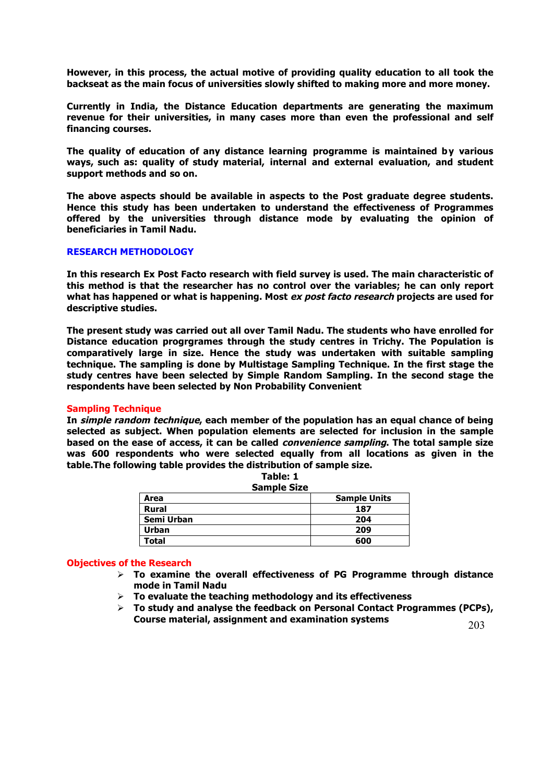**However, in this process, the actual motive of providing quality education to all took the backseat as the main focus of universities slowly shifted to making more and more money.** 

**Currently in India, the Distance Education departments are generating the maximum revenue for their universities, in many cases more than even the professional and self financing courses.**

**The quality of education of any distance learning programme is maintained by various ways, such as: quality of study material, internal and external evaluation, and student support methods and so on.** 

**The above aspects should be available in aspects to the Post graduate degree students. Hence this study has been undertaken to understand the effectiveness of Programmes offered by the universities through distance mode by evaluating the opinion of beneficiaries in Tamil Nadu.**

## **RESEARCH METHODOLOGY**

**In this research Ex Post Facto research with field survey is used. The main characteristic of this method is that the researcher has no control over the variables; he can only report what has happened or what is happening. Most ex post facto research projects are used for descriptive studies.** 

**The present study was carried out all over Tamil Nadu. The students who have enrolled for Distance education progrgrames through the study centres in Trichy. The Population is comparatively large in size. Hence the study was undertaken with suitable sampling technique. The sampling is done by Multistage Sampling Technique. In the first stage the study centres have been selected by Simple Random Sampling. In the second stage the respondents have been selected by Non Probability Convenient** 

#### **Sampling Technique**

**In simple random technique, each member of the population has an equal chance of being selected as subject. When population elements are selected for inclusion in the sample based on the ease of access, it can be called convenience sampling. The total sample size was 600 respondents who were selected equally from all locations as given in the table.The following table provides the distribution of sample size.**

**Table: 1**

| <b>Sample Size</b> |                     |  |  |  |
|--------------------|---------------------|--|--|--|
| Area               | <b>Sample Units</b> |  |  |  |
| <b>Rural</b>       | 187                 |  |  |  |
| Semi Urban         | 204                 |  |  |  |
| Urban              | 209                 |  |  |  |
| Total              | 600                 |  |  |  |

#### **Objectives of the Research**

- Ø **To examine the overall effectiveness of PG Programme through distance mode in Tamil Nadu**
- $\triangleright$  To evaluate the teaching methodology and its effectiveness
- $\triangleright$  To study and analyse the feedback on Personal Contact Programmes (PCPs), **Course material, assignment and examination systems**

203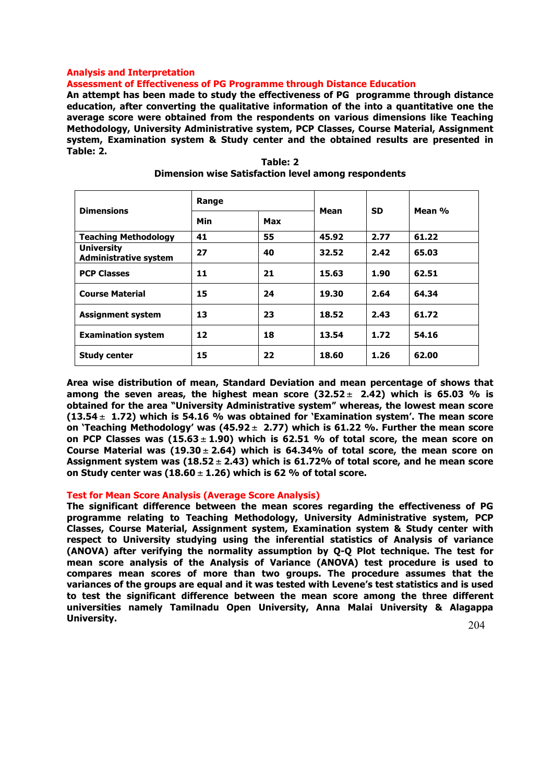# **Analysis and Interpretation**

**Assessment of Effectiveness of PG Programme through Distance Education**

**An attempt has been made to study the effectiveness of PG programme through distance education, after converting the qualitative information of the into a quantitative one the average score were obtained from the respondents on various dimensions like Teaching Methodology, University Administrative system, PCP Classes, Course Material, Assignment system, Examination system & Study center and the obtained results are presented in Table: 2.**

| <b>Dimensions</b>                                 | Range      |     |       |           |        |
|---------------------------------------------------|------------|-----|-------|-----------|--------|
|                                                   | <b>Min</b> | Max | Mean  | <b>SD</b> | Mean % |
| <b>Teaching Methodology</b>                       | 41         | 55  | 45.92 | 2.77      | 61.22  |
| <b>University</b><br><b>Administrative system</b> | 27         | 40  | 32.52 | 2.42      | 65.03  |
| <b>PCP Classes</b>                                | 11         | 21  | 15.63 | 1.90      | 62.51  |
| <b>Course Material</b>                            | 15         | 24  | 19.30 | 2.64      | 64.34  |
| <b>Assignment system</b>                          | 13         | 23  | 18.52 | 2.43      | 61.72  |
| <b>Examination system</b>                         | 12         | 18  | 13.54 | 1.72      | 54.16  |
| <b>Study center</b>                               | 15         | 22  | 18.60 | 1.26      | 62.00  |

**Table: 2 Dimension wise Satisfaction level among respondents**

**Area wise distribution of mean, Standard Deviation and mean percentage of shows that**  among the seven areas, the highest mean score  $(32.52 \pm 2.42)$  which is 65.03 % is **obtained for the area "University Administrative system" whereas, the lowest mean score (13.54** ± **1.72) which is 54.16 % was obtained for 'Examination system'. The mean score on 'Teaching Methodology' was (45.92** ± **2.77) which is 61.22 %. Further the mean score on PCP Classes was (15.63** ± **1.90) which is 62.51 % of total score, the mean score on Course Material was (19.30** ± **2.64) which is 64.34% of total score, the mean score on Assignment system was (18.52** ± **2.43) which is 61.72% of total score, and he mean score on Study center was (18.60** ± **1.26) which is 62 % of total score.**

## **Test for Mean Score Analysis (Average Score Analysis)**

**The significant difference between the mean scores regarding the effectiveness of PG programme relating to Teaching Methodology, University Administrative system, PCP Classes, Course Material, Assignment system, Examination system & Study center with respect to University studying using the inferential statistics of Analysis of variance (ANOVA) after verifying the normality assumption by Q-Q Plot technique. The test for mean score analysis of the Analysis of Variance (ANOVA) test procedure is used to compares mean scores of more than two groups. The procedure assumes that the variances of the groups are equal and it was tested with Levene's test statistics and is used to test the significant difference between the mean score among the three different universities namely Tamilnadu Open University, Anna Malai University & Alagappa University.**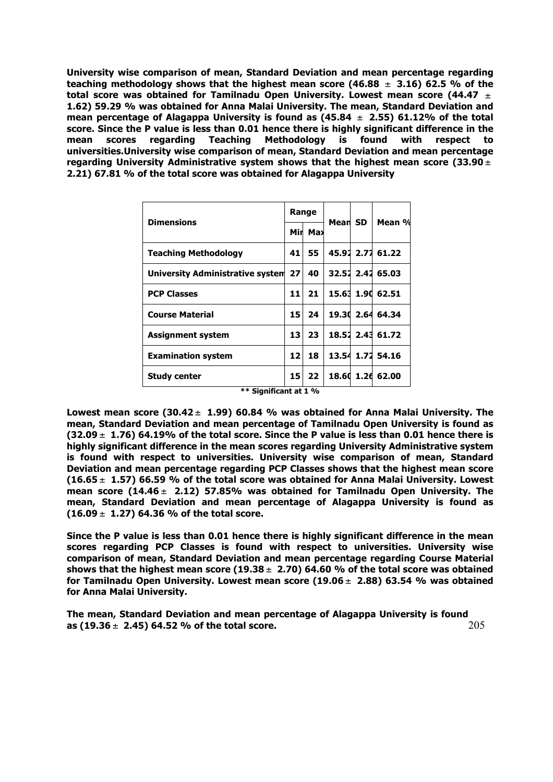**University wise comparison of mean, Standard Deviation and mean percentage regarding teaching methodology shows that the highest mean score (46.88** ± **3.16) 62.5 % of the total score was obtained for Tamilnadu Open University. Lowest mean score (44.47** ± **1.62) 59.29 % was obtained for Anna Malai University. The mean, Standard Deviation and mean percentage of Alagappa University is found as (45.84** ± **2.55) 61.12% of the total score. Since the P value is less than 0.01 hence there is highly significant difference in the mean scores regarding Teaching Methodology is found with respect to universities.University wise comparison of mean, Standard Deviation and mean percentage regarding University Administrative system shows that the highest mean score (33.90** ± **2.21) 67.81 % of the total score was obtained for Alagappa University**

| <b>Dimensions</b>                   | Range           |         |         |  |                  |  |  |
|-------------------------------------|-----------------|---------|---------|--|------------------|--|--|
|                                     |                 | Mir Max | Mean SD |  | Mean %           |  |  |
| Teaching Methodology                | 41              | 55.     |         |  | 45.91 2.71 61.22 |  |  |
| University Administrative system 27 |                 | 40      |         |  | 32.52 2.42 65.03 |  |  |
| <b>PCP Classes</b>                  | 11              | 21      |         |  | 15.63 1.90 62.51 |  |  |
| <b>Course Material</b>              | 15              | 24      |         |  | 19.30 2.64 64.34 |  |  |
| Assignment system                   | 13              | 23      |         |  | 18.51 2.43 61.72 |  |  |
| <b>Examination system</b>           | 12 <sub>1</sub> | 18      |         |  | 13.54 1.72 54.16 |  |  |
| <b>Study center</b>                 | 15              | 22      |         |  | 18.60 1.26 62.00 |  |  |
| ** Significant at 1 %               |                 |         |         |  |                  |  |  |

**Lowest mean score (30.42** ± **1.99) 60.84 % was obtained for Anna Malai University. The mean, Standard Deviation and mean percentage of Tamilnadu Open University is found as (32.09** ± **1.76) 64.19% of the total score. Since the P value is less than 0.01 hence there is highly significant difference in the mean scores regarding University Administrative system is found with respect to universities. University wise comparison of mean, Standard Deviation and mean percentage regarding PCP Classes shows that the highest mean score (16.65** ± **1.57) 66.59 % of the total score was obtained for Anna Malai University. Lowest mean score (14.46** ± **2.12) 57.85% was obtained for Tamilnadu Open University. The** 

**(16.09** ± **1.27) 64.36 % of the total score.**

**Since the P value is less than 0.01 hence there is highly significant difference in the mean scores regarding PCP Classes is found with respect to universities. University wise comparison of mean, Standard Deviation and mean percentage regarding Course Material shows that the highest mean score (19.38** ± **2.70) 64.60 % of the total score was obtained for Tamilnadu Open University. Lowest mean score (19.06** ± **2.88) 63.54 % was obtained for Anna Malai University.** 

**mean, Standard Deviation and mean percentage of Alagappa University is found as** 

205 **The mean, Standard Deviation and mean percentage of Alagappa University is found as (19.36** ± **2.45) 64.52 % of the total score.**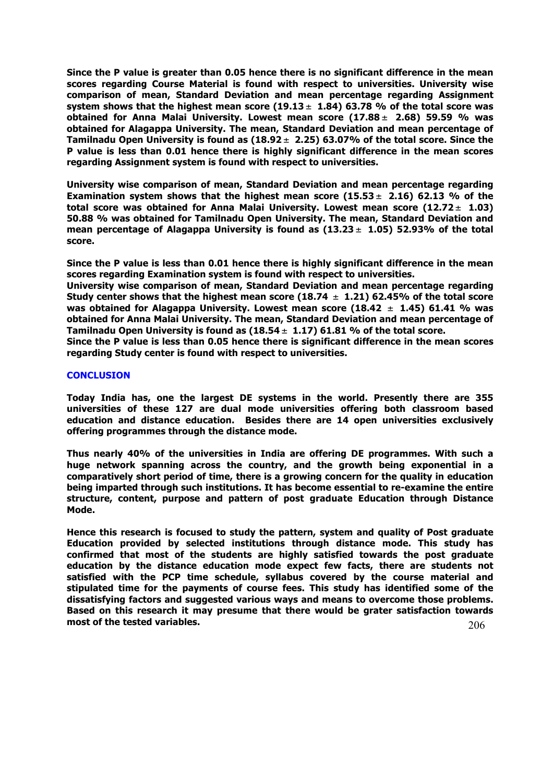**Since the P value is greater than 0.05 hence there is no significant difference in the mean scores regarding Course Material is found with respect to universities. University wise comparison of mean, Standard Deviation and mean percentage regarding Assignment system shows that the highest mean score (19.13** ± **1.84) 63.78 % of the total score was obtained for Anna Malai University. Lowest mean score (17.88** ± **2.68) 59.59 % was obtained for Alagappa University. The mean, Standard Deviation and mean percentage of Tamilnadu Open University is found as (18.92** ± **2.25) 63.07% of the total score. Since the P value is less than 0.01 hence there is highly significant difference in the mean scores regarding Assignment system is found with respect to universities.**

**University wise comparison of mean, Standard Deviation and mean percentage regarding Examination system shows that the highest mean score (15.53** ± **2.16) 62.13 % of the total score was obtained for Anna Malai University. Lowest mean score (12.72** ± **1.03) 50.88 % was obtained for Tamilnadu Open University. The mean, Standard Deviation and mean percentage of Alagappa University is found as (13.23** ± **1.05) 52.93% of the total score.** 

**Since the P value is less than 0.01 hence there is highly significant difference in the mean scores regarding Examination system is found with respect to universities.**

**University wise comparison of mean, Standard Deviation and mean percentage regarding Study center shows that the highest mean score (18.74** ± **1.21) 62.45% of the total score was obtained for Alagappa University. Lowest mean score (18.42** ± **1.45) 61.41 % was obtained for Anna Malai University. The mean, Standard Deviation and mean percentage of Tamilnadu Open University is found as (18.54** ± **1.17) 61.81 % of the total score.** 

**Since the P value is less than 0.05 hence there is significant difference in the mean scores regarding Study center is found with respect to universities.**

# **CONCLUSION**

**Today India has, one the largest DE systems in the world. Presently there are 355 universities of these 127 are dual mode universities offering both classroom based education and distance education. Besides there are 14 open universities exclusively offering programmes through the distance mode.** 

**Thus nearly 40% of the universities in India are offering DE programmes. With such a huge network spanning across the country, and the growth being exponential in a comparatively short period of time, there is a growing concern for the quality in education being imparted through such institutions. It has become essential to re-examine the entire structure, content, purpose and pattern of post graduate Education through Distance Mode.** 

**Hence this research is focused to study the pattern, system and quality of Post graduate Education provided by selected institutions through distance mode. This study has confirmed that most of the students are highly satisfied towards the post graduate education by the distance education mode expect few facts, there are students not satisfied with the PCP time schedule, syllabus covered by the course material and stipulated time for the payments of course fees. This study has identified some of the dissatisfying factors and suggested various ways and means to overcome those problems. Based on this research it may presume that there would be grater satisfaction towards most of the tested variables.**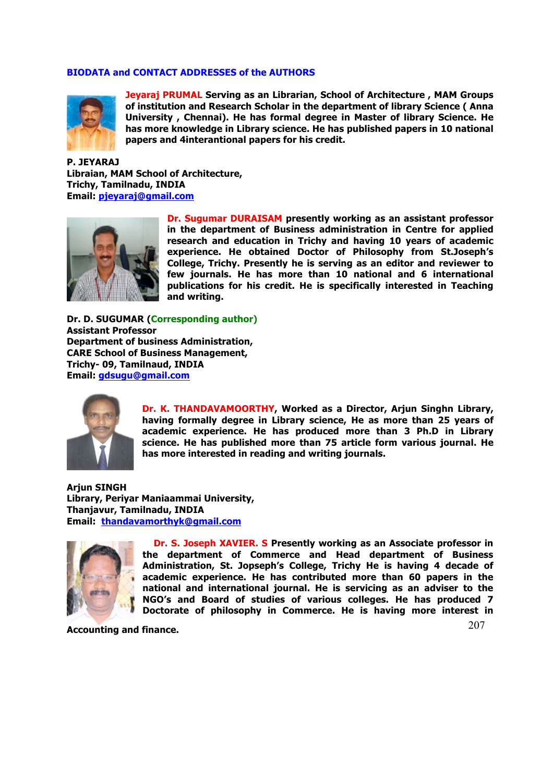# **BIODATA and CONTACT ADDRESSES of the AUTHORS**



**Jeyaraj PRUMAL Serving as an Librarian, School of Architecture , MAM Groups of institution and Research Scholar in the department of library Science ( Anna University , Chennai). He has formal degree in Master of library Science. He has more knowledge in Library science. He has published papers in 10 national papers and 4interantional papers for his credit.**

**P. JEYARAJ Libraian, MAM School of Architecture, Trichy, Tamilnadu, INDIA Email: pjeyaraj@gmail.com**



**Dr. Sugumar DURAISAM presently working as an assistant professor in the department of Business administration in Centre for applied research and education in Trichy and having 10 years of academic experience. He obtained Doctor of Philosophy from St.Joseph's College, Trichy. Presently he is serving as an editor and reviewer to few journals. He has more than 10 national and 6 international publications for his credit. He is specifically interested in Teaching and writing.** 

**Dr. D. SUGUMAR (Corresponding author) Assistant Professor Department of business Administration, CARE School of Business Management, Trichy- 09, Tamilnaud, INDIA Email: gdsugu@gmail.com** 



**Dr. K. THANDAVAMOORTHY, Worked as a Director, Arjun Singhn Library, having formally degree in Library science, He as more than 25 years of academic experience. He has produced more than 3 Ph.D in Library science. He has published more than 75 article form various journal. He has more interested in reading and writing journals.**

**Arjun SINGH Library, Periyar Maniaammai University, Thanjavur, Tamilnadu, INDIA Email: thandavamorthyk@gmail.com** 



**Dr. S. Joseph XAVIER. S Presently working as an Associate professor in the department of Commerce and Head department of Business Administration, St. Jopseph's College, Trichy He is having 4 decade of academic experience. He has contributed more than 60 papers in the national and international journal. He is servicing as an adviser to the NGO's and Board of studies of various colleges. He has produced 7 Doctorate of philosophy in Commerce. He is having more interest in** 

**Accounting and finance.** 

207